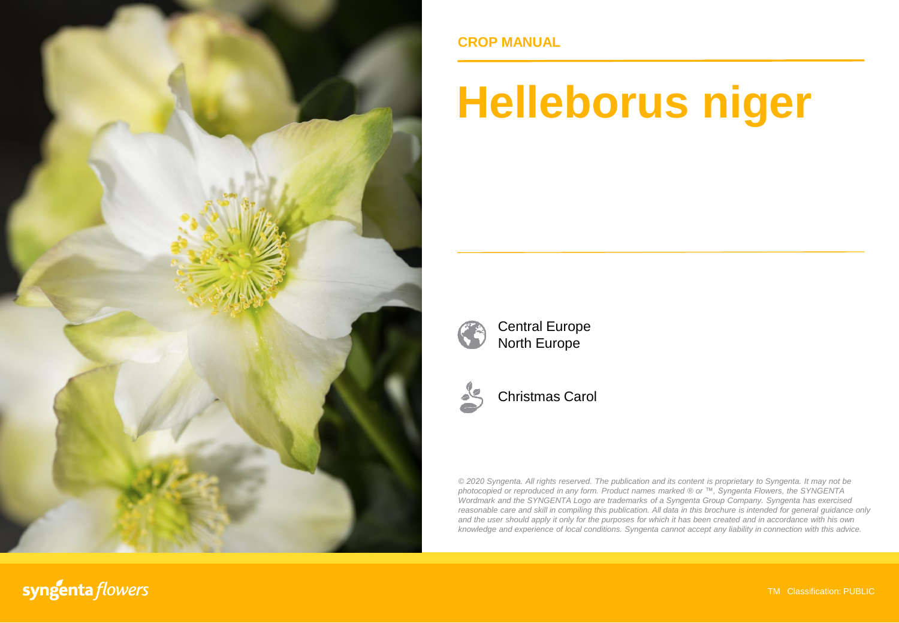

**CROP MANUAL**

# **Helleborus niger**



Central Europe North Europe



Christmas Carol

*© 2020 Syngenta. All rights reserved. The publication and its content is proprietary to Syngenta. It may not be photocopied or reproduced in any form. Product names marked ® or ™, Syngenta Flowers, the SYNGENTA Wordmark and the SYNGENTA Logo are trademarks of a Syngenta Group Company. Syngenta has exercised reasonable care and skill in compiling this publication. All data in this brochure is intended for general guidance only* and the user should apply it only for the purposes for which it has been created and in accordance with his own *knowledge and experience of local conditions. Syngenta cannot accept any liability in connection with this advice.*

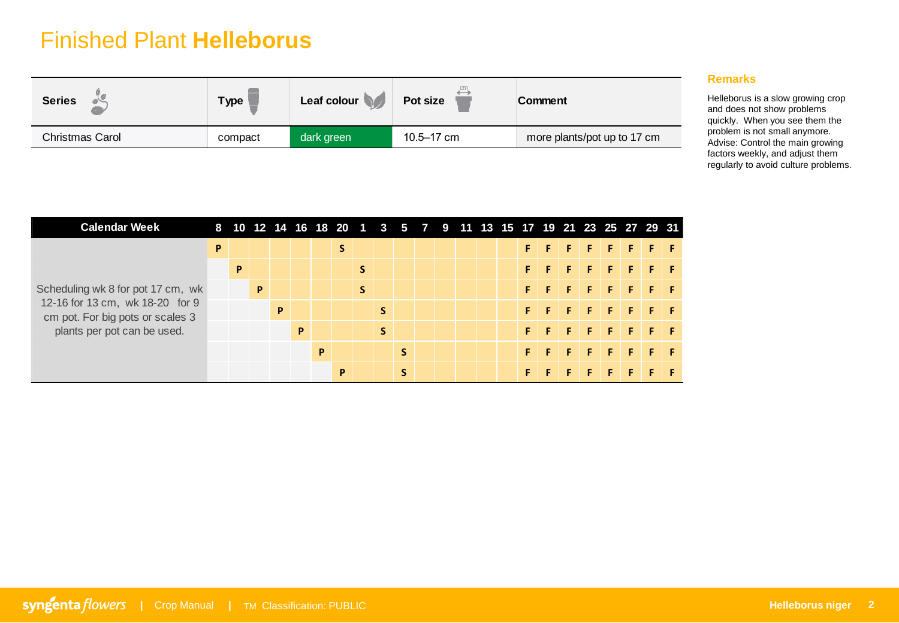## Finished Plant **Helleborus**

| <b>Series</b>   | <b>Type</b> | Leaf colour | Pot size   | Comment                     |
|-----------------|-------------|-------------|------------|-----------------------------|
| Christmas Carol | compact     | dark green  | 10.5–17 cm | more plants/pot up to 17 cm |

### **Remarks**

Helleborus is a slow growing crop and does not show problems quickly. When you see them the problem is not small anymore. Advise: Control the main growing factors weekly, and adjust them regularly to avoid culture problems.

| Christmas Carol                                                      |   | compact      |   |                                                                |             | dark green                |   |             |             |        | 10.5-17 cm |  |  |         |    |   |        | more plants/pot up to 17 cm |                          |               |    | propretti to flot official difference.<br>Advise: Control the main growing<br>factors weekly, and adjust them<br>regularly to avoid culture problems. |
|----------------------------------------------------------------------|---|--------------|---|----------------------------------------------------------------|-------------|---------------------------|---|-------------|-------------|--------|------------|--|--|---------|----|---|--------|-----------------------------|--------------------------|---------------|----|-------------------------------------------------------------------------------------------------------------------------------------------------------|
| <b>Calendar Week</b>                                                 |   |              |   | 8 10 12 14 16 18 20 1 3 5 7 9 11 13 15 17 19 21 23 25 27 29 31 |             |                           |   |             |             |        |            |  |  |         |    |   |        |                             |                          |               |    |                                                                                                                                                       |
|                                                                      | P |              |   |                                                                |             |                           | S |             |             |        |            |  |  | F.      | F  | F | F.     | $\vert \mathsf{F} \vert$    | $\vert \mathsf{F} \vert$ | <b>FF</b>     |    |                                                                                                                                                       |
|                                                                      |   | $\mathbf{P}$ |   |                                                                |             |                           |   | $\mathsf S$ |             |        |            |  |  | F.      |    |   |        |                             | F                        | F.            | -F |                                                                                                                                                       |
| Scheduling wk 8 for pot 17 cm, wk<br>12-16 for 13 cm, wk 18-20 for 9 |   |              | P |                                                                |             |                           |   | $\mathsf S$ |             |        |            |  |  | F.      | F  | F | F      | F.                          | $\mathsf F$              | F.            | F  |                                                                                                                                                       |
| cm pot. For big pots or scales 3                                     |   |              |   | $\boldsymbol{\mathsf{P}}$                                      |             |                           |   |             | $\mathsf S$ |        |            |  |  | F.      | F  | F | F      | F                           | F                        | F.            | F  |                                                                                                                                                       |
| plants per pot can be used.                                          |   |              |   |                                                                | $\mathsf P$ |                           |   |             | S           |        |            |  |  | F.      | F  | F | F      | F.                          | F                        | F.            | F. |                                                                                                                                                       |
|                                                                      |   |              |   |                                                                |             | $\boldsymbol{\mathsf{P}}$ | P |             |             | S<br>S |            |  |  | F<br>F. | F. | F | F<br>F | F.<br>F                     | F<br>$\mathsf F$         | F.<br>$F$ $F$ | F  |                                                                                                                                                       |
|                                                                      |   |              |   |                                                                |             |                           |   |             |             |        |            |  |  |         |    |   |        |                             |                          |               |    |                                                                                                                                                       |
|                                                                      |   |              |   |                                                                |             |                           |   |             |             |        |            |  |  |         |    |   |        |                             |                          |               |    |                                                                                                                                                       |
|                                                                      |   |              |   |                                                                |             |                           |   |             |             |        |            |  |  |         |    |   |        |                             |                          |               |    |                                                                                                                                                       |
|                                                                      |   |              |   |                                                                |             |                           |   |             |             |        |            |  |  |         |    |   |        |                             |                          |               |    |                                                                                                                                                       |
| <b>yngenta flowers</b>   Crop Manual   TM Classification: PUBLIC     |   |              |   |                                                                |             |                           |   |             |             |        |            |  |  |         |    |   |        |                             |                          |               |    |                                                                                                                                                       |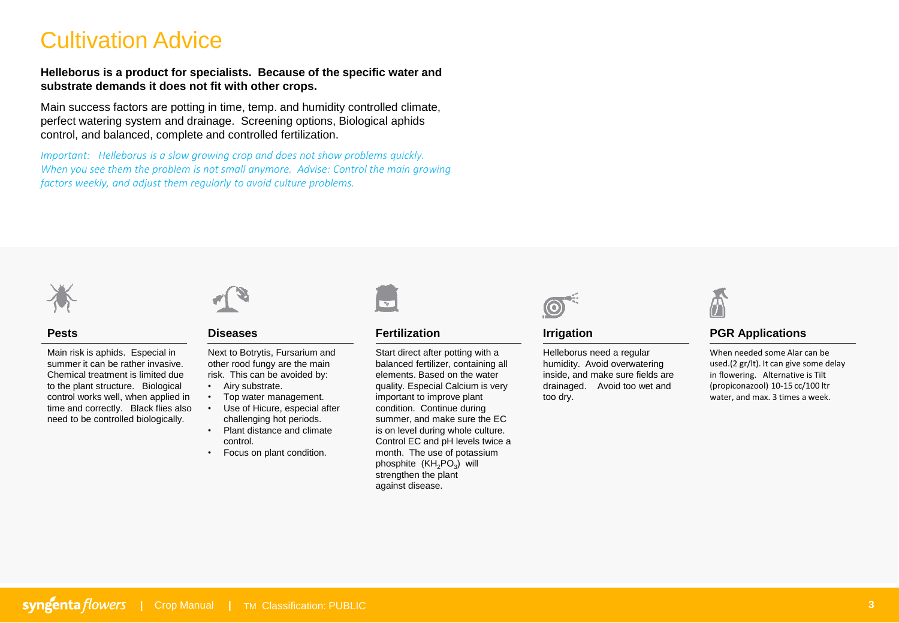## Cultivation Advice

**Helleborus is a product for specialists. Because of the specific water and substrate demands it does not fit with other crops.** 

Main success factors are potting in time, temp. and humidity controlled climate, perfect watering system and drainage. Screening options, Biological aphids control, and balanced, complete and controlled fertilization.

*Important: Helleborus is a slow growing crop and does not show problems quickly. When you see them the problem is not small anymore. Advise: Control the main growing factors weekly, and adjust them regularly to avoid culture problems.* 



#### **Pests**

Main risk is aphids. Especial in summer it can be rather invasive. Chemical treatment is limited due to the plant structure. Biological control works well, when applied in time and correctly. Black flies also need to be controlled biologically.



#### **Diseases**

Next to Botrytis, Fursarium and other rood fungy are the main risk. This can be avoided by:

- Airy substrate.
- Top water management. • Use of Hicure, especial after challenging hot periods.
- Plant distance and climate control.
- Focus on plant condition.



#### **Fertilization**

Start direct after potting with a balanced fertilizer, containing all elements. Based on the water quality. Especial Calcium is very important to improve plant condition. Continue during summer, and make sure the EC is on level during whole culture. Control EC and pH levels twice a month. The use of potassium phosphite  $(KH_2PO_3)$  will strengthen the plant against disease.



#### **Irrigation**

Helleborus need a regular humidity. Avoid overwatering inside, and make sure fields are drainaged. Avoid too wet and too dry.



### **PGR Applications**

When needed some Alar can be used.(2 gr/lt). It can give some delay in flowering. Alternative is Tilt (propiconazool) 10-15 cc/100 ltr water, and max. 3 times a week.